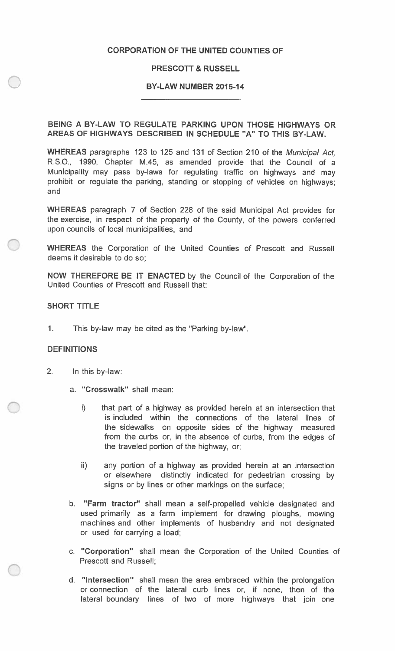## **CORPORATION OF THE UNITED COUNTIES OF**

## **PRESCOTT & RUSSELL**

#### **BY-LAW NUMBER 2015-14**

## **BEING A BY-LAW TO REGULATE PARKING UPON THOSE HIGHWAYS OR AREAS OF HIGHWAYS DESCRIBED IN SCHEDULE "A" TO THIS BY-LAW.**

**WHEREAS** paragraphs 123 to 125 and 131 of Section 210 of the *Municipal Act,*  R.S.O., 1990, Chapter M.45, as amended provide that the Council of <sup>a</sup> Municipality may pass by-laws for regulating traffic on highways and may prohibit or regulate the parking, standing or stopping of vehicles on highways; and

**WHEREAS** paragraph 7 of Section 228 of the said Municipal Act provides for the exercise, in respect of the property of the County, of the powers conferred upon councils of local municipalities, and

**WHEREAS** the Corporation of the United Counties of Prescott and Russell deems it desirable to do so;

**NOW THEREFORE BE IT ENACTED** by the Council of the Corporation of the United Counties of Prescott and Russell that:

## **SHORT TITLE**

**1.** This by-law may be cited as the "Parking by-law".

#### **DEFINITIONS**

- 2**.** In this by-law:
	- <sup>a</sup>. **"Crosswalk"** shall mean:
		- that part of a highway as provided herein at an intersection that is included within the connections of the lateral lines of the sidewalks on opposite sides of the highway measured from the curbs or, in the absence of curbs, from the edges of the traveled portion of the highway, or; i)
		- ii) any portion of a highway as provided herein at an intersection or elsewhere distinctly indicated for pedestrian crossing by signs or by lines or other markings on the surface;
	- **"Farm tractor"** shall mean a self-propelled vehicle designated and b. used primarily as a farm implement for drawing ploughs, mowing machines and other implements of husbandry and not designated or used for carrying a load;
	- <sup>c</sup>. **"Corporation"** shall mean the Corporation of the United Counties of Prescott and Russell;
	- d. **"Intersection"** shall mean the area embraced within the prolongation or connection of the lateral curb lines or, if none, then of the lateral boundary lines of two of more highways that join one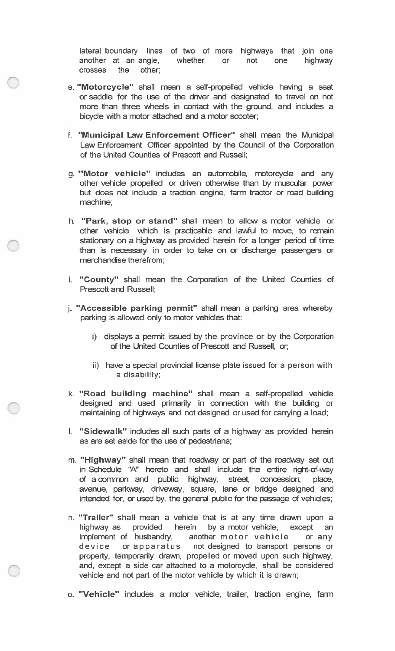lateral boundary lines of two of more highways that join one another at an angle, whether or not one highway crosses the other;

- e. **"Motorcycle"** shall mean a self-propelled vehicle having a seat or saddle for the use of the driver and designated to travel on not more than three wheels in contact with the ground, and includes a bicycle with a motor attached and a motor scooter;
- f. **"Municipal Law Enforcement Officer"** shall mean the Municipal Law Enforcement Officer appointed by the Council of the Corporation of the United Counties of Prescott and Russell;
- g. **"Motor vehicle"** includes an automobile, motorcycle and any other vehicle propelled or driven otherwise than by muscular power but does not include a traction engine, farm tractor or road building machine;
- h. **"Park, stop or stand"** shall mean to allow a motor vehicle or other vehicle which is practicable and lawful to move, to remain stationary on a highway as provided herein for a longer period of time than is necessary in order to take on or discharge passengers or merchandise therefrom;
- i. **"County"** shall mean the Corporation of the United Counties of Prescott and Russell;
- j. **"Accessible parking permit"** shall mean a parking area whereby parking is allowed only to motor vehicles that:
	- i) displays a permit issued by the province or by the Corporation of the United Counties of Prescott and Russell, or,
	- ii) have a special provincial license plate issued for a person with a disability;
- k. **"Road building machine"** shall mean a self-propelled vehicle designed and used primarily in connection with the building or maintaining of highways and not designed or used for carrying a load;
- **I. "Sidewalk"** includes all such parts of a highway as provided herein as are set aside for the use of pedestrians;
- m. **"Highway"** shall mean that roadway or part of the roadway set out n Schedule "A" hereto and shall include the entire right-of-way i of a common and public highway, street, concession, place, avenue, parkway, driveway, square, lane or bridge designed and intended for, or used by, the general public for the passage of vehicles;
- n. **"Trailer"** shall mean a vehicle that is at any time drawn upon a highway as provided herein by a motor vehicle, except an implement of husbandry, another motor vehicle or any device or apparatus not designed to transport persons or properly, temporarily drawn, propelled or moved upon such highway, and, except a side car attached to a motorcycle, shall be considered vehicle and not part of the motor vehicle by which it is drawn;
- o. **"Vehicle"** includes a motor vehicle, trailer, traction engine, farm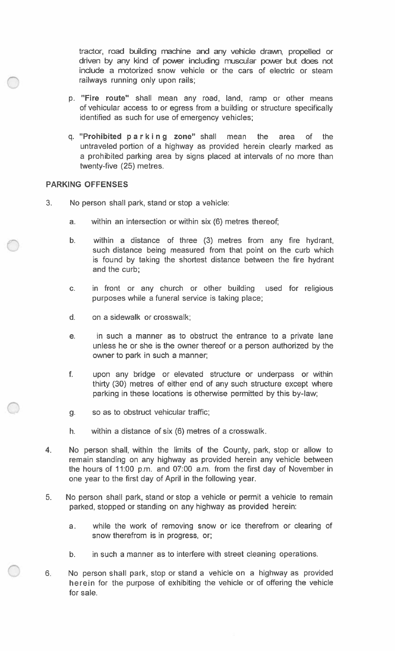tractor, road building machine and any vehicle drawn, propelled or driven by any kind of power including muscular power but does not include a motorized snow vehicle or the cars of electric or steam railways running only upon rails;

- p. **"Fire route"** shall mean any road, land, ramp or other means of vehicular access to or egress from a building or structure specifically identified as such for use of emergency vehicles;
- q. **"Prohibited p a r k i n g zone"** shall mean the area of the untraveled portion of a highway as provided herein clearly marked as a prohibited parking area by signs placed at intervals of no more than twenty-five (25) metres.

#### **PARKING OFFENSES**

- 3. No person shall park, stand or stop a vehicle:
	- a. within an intersection or within six (6) metres thereof;
	- b. within a distance of three (3) metres from any fire hydrant, such distance being measured from that point on the curb which is found by taking the shortest distance between the fire hydrant and the curb;
	- in front or any church or other building used for religious purposes while a funeral service is taking place; c.
	- d. on a sidewalk or crosswalk;
	- in such a manner as to obstruct the entrance to a private lane unless he or she is the owner thereof or a person authorized by the owner to park in such a manner; e.
	- f. upon any bridge or elevated structure or underpass or within thirty (30) metres of either end of any such structure except where parking in these locations is otherwise permitted by this by-law;
	- g. so as to obstruct vehicular traffic;
	- h. within a distance of six (6) metres of a crosswalk.
- No person shall, within the limits of the County, park, stop or allow to remain standing on any highway as provided herein any vehicle between the hours of 11:00 p.m. and 07:00 a.m. from the first day of November in one year to the first day of April in the following year. 4.
- No person shall park, stand or stop a vehicle or permit a vehicle to remain parked, stopped or standing on any highway as provided herein: 5.
	- while the work of removing snow or ice therefrom or clearing of snow therefrom is in progress, or; a.
	- b. in such a manner as to interfere with street cleaning operations.
- No person shall park, stop or stand a vehicle on a highway as provided herein for the purpose of exhibiting the vehicle or of offering the vehicle for sale. 6.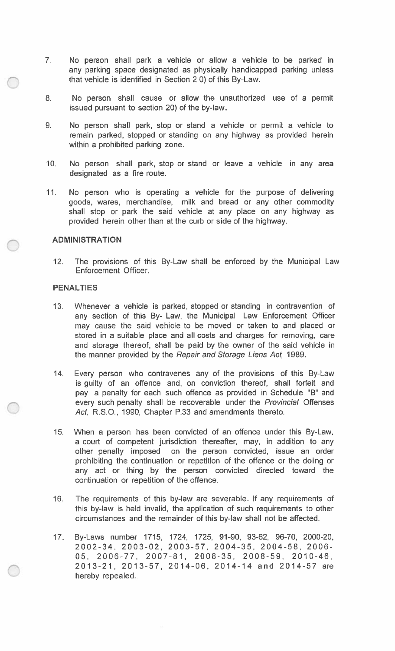- 7. No person shall park a vehicle or allow a vehicle to be parked in any parking space designated as physically handicapped parking unless that vehicle is identified in Section 2 0) of this By-Law.
- No person shall cause or allow the unauthorized use of a permit issued pursuant to section 20) of the by-law. 8**.**
- No person shall park, stop or stand a vehicle or permit a vehicle to remain parked, stopped or standing on any highway as provided herein within a prohibited parking zone. 9.
- No person shall park, stop or stand or leave a vehicle in any area designated as a fire route. 10**.**
- No person who is operating a vehicle for the purpose of delivering goods, wares, merchandise, milk and bread or any other commodity shall stop or park the said vehicle at any place on any highway as provided herein other than at the curb or side of the highway. 11**.**

#### **ADMINISTRATION**

12**.** The provisions of this By-Law shall be enforced by the Municipal Law Enforcement Officer.

#### **PENALTIES**

- Whenever a vehicle is parked, stopped or standing in contravention of any section of this By- Law, the Municipal Law Enforcement Officer may cause the said vehicle to be moved or taken to and placed or stored in a suitable place and all costs and charges for removing, care and storage thereof, shall be paid by the owner of the said vehicle in the manner provided by the *Repair and Storage Liens Act,* 1989. 13.
- Every person who contravenes any of the provisions of this By-Law is guilty of an offence and, on conviction thereof, shall forfeit and pay a penalty for each such offence as provided in Schedule "B" and every such penalty shall be recoverable under the *Provincial* Offenses *Act,* R.S.O., 1990, Chapter P.33 and amendments thereto. 14.
- When a person has been convicted of an offence under this By-Law, a court of competent jurisdiction thereafter, may, in addition to any other penalty imposed on the person convicted, issue an order prohibiting the continuation or repetition of the offence or the doing or any act or thing by the person convicted directed toward the continuation or repetition of the offence. 15.
- The requirements of this by-law are severable. If any requirements of this by-law is held invalid, the application of such requirements to other circumstances and the remainder of this by-law shall not be affected. 16.
- By-Laws number 1715, 1724, 1725, 91-90, 93-62, 96-70, 2000-20, 2 0 0 2 - 3 4 , 2 0 0 3 - 0 2, 2 0 0 3 - 5 7 , 2 0 0 4 - 3 5 , 2 0 0 4 - 5 8 , 2 0 0 6 - 05, 2006-77, 2007-81, 2008-35, 2008-59, 2010-46, 2013-21, 2013-57, 2014-06, 2014-14 and 2014-57 are hereby repealed. 17**.**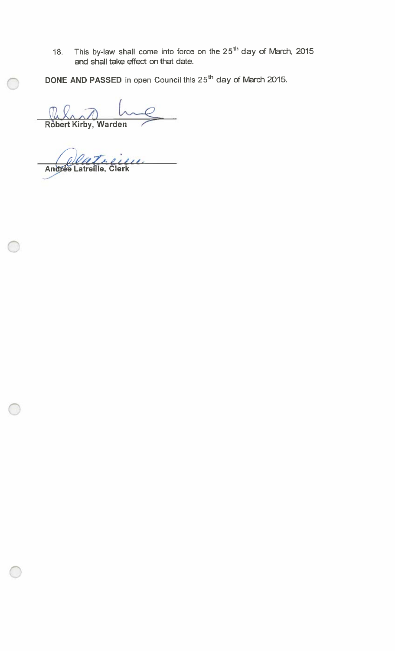18. This by-law shall come into force on the  $25<sup>th</sup>$  day of March, 2015 and shall take effect on that date.

**DONE AND PASSED** in open Council this 25th day of March 2015.

**Robert**  (R *L* **Kirby** *^***, Warden** 

 $\overline{\phantom{a}}$ **An eeLatmfie Clerk ^ ! ^"**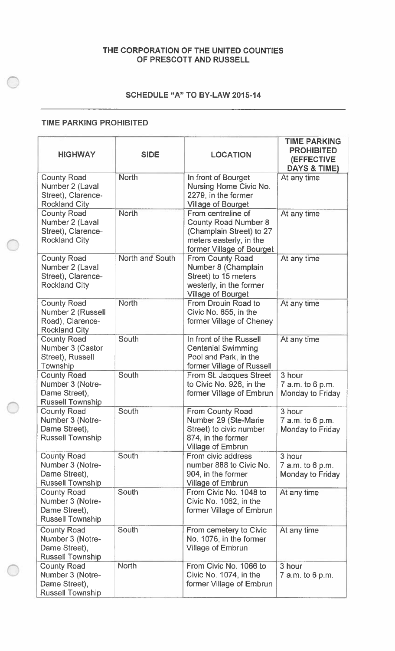## **THE CORPORATION OF THE UNITED COUNTIES OF PRESCOTT AND RUSSELL**

# **SCHEDULE "A" TO BY-LAW 2015-14**

## **TIME PARKING PROHIBITED**

| <b>HIGHWAY</b>                                                                      | <b>SIDE</b>     | <b>LOCATION</b>                                                                                                                       | <b>TIME PARKING</b><br><b>PROHIBITED</b><br><b>(EFFECTIVE</b><br><b>DAYS &amp; TIME)</b> |
|-------------------------------------------------------------------------------------|-----------------|---------------------------------------------------------------------------------------------------------------------------------------|------------------------------------------------------------------------------------------|
| <b>County Road</b><br>Number 2 (Laval<br>Street), Clarence-<br><b>Rockland City</b> | <b>North</b>    | In front of Bourget<br>Nursing Home Civic No.<br>2279, in the former<br><b>Village of Bourget</b>                                     | At any time                                                                              |
| <b>County Road</b><br>Number 2 (Laval<br>Street), Clarence-<br><b>Rockland City</b> | <b>North</b>    | From centreline of<br><b>County Road Number 8</b><br>(Champlain Street) to 27<br>meters easterly, in the<br>former Village of Bourget | At any time                                                                              |
| <b>County Road</b><br>Number 2 (Laval<br>Street), Clarence-<br><b>Rockland City</b> | North and South | From County Road<br>Number 8 (Champlain<br>Street) to 15 meters<br>westerly, in the former<br><b>Village of Bourget</b>               | At any time                                                                              |
| <b>County Road</b><br>Number 2 (Russell<br>Road), Clarence-<br><b>Rockland City</b> | <b>North</b>    | From Drouin Road to<br>Civic No. 655, in the<br>former Village of Cheney                                                              | At any time                                                                              |
| <b>County Road</b><br>Number 3 (Castor<br>Street), Russell<br>Township              | South           | In front of the Russell<br><b>Centenial Swimming</b><br>Pool and Park, in the<br>former Village of Russell                            | At any time                                                                              |
| <b>County Road</b><br>Number 3 (Notre-<br>Dame Street),<br><b>Russell Township</b>  | South           | From St. Jacques Street<br>to Civic No. 926, in the<br>former Village of Embrun                                                       | 3 hour<br>7 a.m. to 6 p.m.<br>Monday to Friday                                           |
| <b>County Road</b><br>Number 3 (Notre-<br>Dame Street),<br><b>Russell Township</b>  | South           | From County Road<br>Number 29 (Ste-Marie<br>Street) to civic number<br>874, in the former<br><b>Village of Embrun</b>                 | 3 hour<br>7 a.m. to 6 p.m.<br>Monday to Friday                                           |
| <b>County Road</b><br>Number 3 (Notre-<br>Dame Street),<br><b>Russell Township</b>  | South           | From civic address<br>number 888 to Civic No.<br>904, in the former<br><b>Village of Embrun</b>                                       | 3 hour<br>7 a.m. to 6 p.m.<br>Monday to Friday                                           |
| <b>County Road</b><br>Number 3 (Notre-<br>Dame Street),<br><b>Russell Township</b>  | South           | From Civic No. 1048 to<br>Civic No. 1062, in the<br>former Village of Embrun                                                          | At any time                                                                              |
| <b>County Road</b><br>Number 3 (Notre-<br>Dame Street),<br><b>Russell Township</b>  | South           | From cemetery to Civic<br>No. 1076, in the former<br><b>Village of Embrun</b>                                                         | At any time                                                                              |
| <b>County Road</b><br>Number 3 (Notre-<br>Dame Street),<br><b>Russell Township</b>  | <b>North</b>    | From Civic No. 1066 to<br>Civic No. 1074, in the<br>former Village of Embrun                                                          | 3 hour<br>7 a.m. to 6 p.m.                                                               |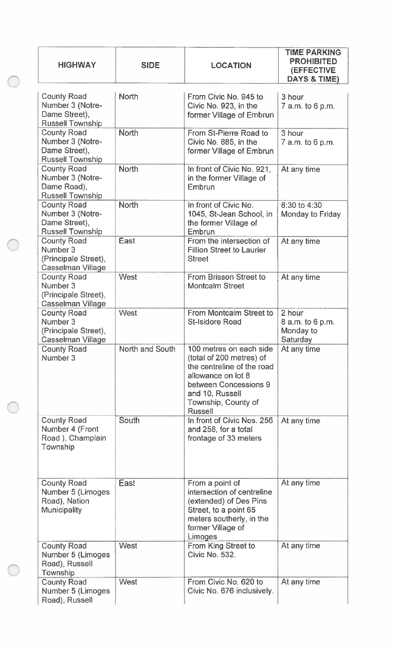| <b>HIGHWAY</b>                                                                     | <b>SIDE</b>     | <b>LOCATION</b>                                                                                                                                                                              | <b>TIME PARKING</b><br><b>PROHIBITED</b><br>(EFFECTIVE<br>DAYS & TIME) |
|------------------------------------------------------------------------------------|-----------------|----------------------------------------------------------------------------------------------------------------------------------------------------------------------------------------------|------------------------------------------------------------------------|
| <b>County Road</b><br>Number 3 (Notre-<br>Dame Street),<br><b>Russell Township</b> | <b>North</b>    | From Civic No. 945 to<br>Civic No. 923, in the<br>former Village of Embrun                                                                                                                   | 3 hour<br>7 a.m. to 6 p.m.                                             |
| <b>County Road</b><br>Number 3 (Notre-<br>Dame Street),<br><b>Russell Township</b> | North           | From St-Pierre Road to<br>Civic No. 885, in the<br>former Village of Embrun                                                                                                                  | 3 hour<br>7 a.m. to 6 p.m.                                             |
| <b>County Road</b><br>Number 3 (Notre-<br>Dame Road),<br><b>Russell Township</b>   | <b>North</b>    | In front of Civic No. 921,<br>in the former Village of<br>Embrun                                                                                                                             | At any time                                                            |
| <b>County Road</b><br>Number 3 (Notre-<br>Dame Street),<br><b>Russell Township</b> | <b>North</b>    | In front of Civic No.<br>1045, St-Jean School, in<br>the former Village of<br>Embrun                                                                                                         | 8:30 to 4:30<br>Monday to Friday                                       |
| <b>County Road</b><br>Number 3<br>(Principale Street),<br>Casselman Village        | <b>East</b>     | From the intersection of<br><b>Fillion Street to Laurier</b><br><b>Street</b>                                                                                                                | At any time                                                            |
| <b>County Road</b><br>Number 3<br>(Principale Street),<br>Casselman Village        | West            | From Brisson Street to<br><b>Montcalm Street</b>                                                                                                                                             | At any time                                                            |
| <b>County Road</b><br>Number 3<br>(Principale Street),<br><b>Casselman Village</b> | <b>West</b>     | From Montcalm Street to<br><b>St-Isidore Road</b>                                                                                                                                            | 2 hour<br>8 a.m. to 6 p.m.<br>Monday to<br>Saturday                    |
| <b>County Road</b><br>Number 3                                                     | North and South | 100 metres on each side<br>(total of 200 metres) of<br>the centreline of the road<br>allowance on lot 8<br>between Concessions 9<br>and 10, Russell<br>Township, County of<br><b>Russell</b> | At any time                                                            |
| <b>County Road</b><br>Number 4 (Front<br>Road), Champlain<br>Township              | South           | In front of Civic Nos. 256<br>and 258, for a total<br>frontage of 33 meters                                                                                                                  | At any time                                                            |
| <b>County Road</b><br>Number 5 (Limoges<br>Road), Nation<br><b>Municipality</b>    | East            | From a point of<br>intersection of centreline<br>(extended) of Des Pins<br>Street, to a point 65<br>meters southerly, in the<br>former Village of<br>Limoges                                 | At any time                                                            |
| <b>County Road</b><br>Number 5 (Limoges<br>Road), Russell<br>Township              | <b>West</b>     | From King Street to<br>Civic No. 532.                                                                                                                                                        | At any time                                                            |
| <b>County Road</b><br>Number 5 (Limoges<br>Road), Russell                          | West            | From Civic No. 620 to<br>Civic No. 676 inclusively.                                                                                                                                          | At any time                                                            |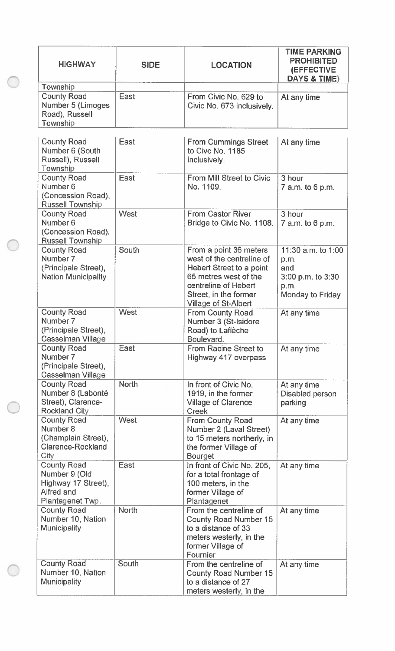| <b>HIGHWAY</b>                                                                               | <b>SIDE</b>  | <b>LOCATION</b>                                                                                                                                                                   | <b>TIME PARKING</b><br><b>PROHIBITED</b><br><b>(EFFECTIVE</b><br><b>DAYS &amp; TIME)</b> |
|----------------------------------------------------------------------------------------------|--------------|-----------------------------------------------------------------------------------------------------------------------------------------------------------------------------------|------------------------------------------------------------------------------------------|
| Township                                                                                     |              |                                                                                                                                                                                   |                                                                                          |
| <b>County Road</b><br>Number 5 (Limoges<br>Road), Russell<br>Township                        | East         | From Civic No. 629 to<br>Civic No. 673 inclusively.                                                                                                                               | At any time                                                                              |
| <b>County Road</b><br>Number 6 (South<br>Russell), Russell<br>Township                       | East         | <b>From Cummings Street</b><br>to Civc No. 1185<br>inclusively.                                                                                                                   | At any time                                                                              |
| <b>County Road</b><br>Number <sub>6</sub><br>(Concession Road),<br><b>Russell Township</b>   | East         | From Mill Street to Civic<br>No. 1109.                                                                                                                                            | 3 hour<br>7 a.m. to 6 p.m.                                                               |
| <b>County Road</b><br>Number <sub>6</sub><br>(Concession Road),<br><b>Russell Township</b>   | West         | <b>From Castor River</b><br>Bridge to Civic No. 1108.                                                                                                                             | 3 hour<br>7 a.m. to 6 p.m.                                                               |
| <b>County Road</b><br>Number 7<br>(Principale Street),<br><b>Nation Municipality</b>         | South        | From a point 36 meters<br>west of the centreline of<br>Hebert Street to a point<br>65 metres west of the<br>centreline of Hebert<br>Street, in the former<br>Village of St-Albert | 11:30 $a.m.$ to 1:00<br>p.m.<br>and<br>3:00 p.m. to 3:30<br>p.m.<br>Monday to Friday     |
| <b>County Road</b><br>Number 7<br>(Principale Street),<br>Casselman Village                  | <b>West</b>  | <b>From County Road</b><br>Number 3 (St-Isidore<br>Road) to Laflèche<br>Boulevard.                                                                                                | At any time                                                                              |
| <b>County Road</b><br>Number 7<br>(Principale Street),<br>Casselman Village                  | East         | From Racine Street to<br>Highway 417 overpass                                                                                                                                     | At any time                                                                              |
| <b>County Road</b><br>Number 8 (Labonté<br>Street), Clarence-<br><b>Rockland City</b>        | <b>North</b> | In front of Civic No.<br>1919, in the former<br><b>Village of Clarence</b><br><b>Creek</b>                                                                                        | At any time<br>Disabled person<br>parking                                                |
| <b>County Road</b><br>Number 8<br>(Champlain Street),<br><b>Clarence-Rockland</b><br>City    | <b>West</b>  | From County Road<br>Number 2 (Laval Street)<br>to 15 meters northerly, in<br>the former Village of<br><b>Bourget</b>                                                              | At any time                                                                              |
| <b>County Road</b><br>Number 9 (Old<br>Highway 17 Street),<br>Alfred and<br>Plantagenet Twp. | East         | In front of Civic No. 205,<br>for a total frontage of<br>100 meters, in the<br>former Village of<br>Plantagenet                                                                   | At any time                                                                              |
| <b>County Road</b><br>Number 10, Nation<br>Municipality                                      | <b>North</b> | From the centreline of<br><b>County Road Number 15</b><br>to a distance of 33<br>meters westerly, in the<br>former Village of<br>Fournier                                         | At any time                                                                              |
| <b>County Road</b><br>Number 10, Nation<br><b>Municipality</b>                               | <b>South</b> | From the centreline of<br><b>County Road Number 15</b><br>to a distance of 27<br>meters westerly, in the                                                                          | At any time                                                                              |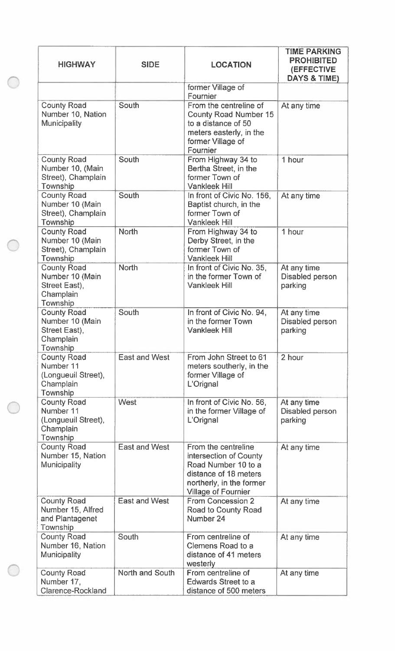| <b>HIGHWAY</b>                                                                  | <b>SIDE</b>            | <b>LOCATION</b>                                                                                                                                         | <b>TIME PARKING</b><br><b>PROHIBITED</b><br>(EFFECTIVE<br><b>DAYS &amp; TIME)</b> |
|---------------------------------------------------------------------------------|------------------------|---------------------------------------------------------------------------------------------------------------------------------------------------------|-----------------------------------------------------------------------------------|
|                                                                                 |                        | former Village of<br>Fournier                                                                                                                           |                                                                                   |
| <b>County Road</b><br>Number 10, Nation<br><b>Municipality</b>                  | South                  | From the centreline of<br><b>County Road Number 15</b><br>to a distance of 50<br>meters easterly, in the<br>former Village of<br>Fournier               | At any time                                                                       |
| <b>County Road</b><br>Number 10, (Main<br>Street), Champlain<br>Township        | South                  | From Highway 34 to<br>Bertha Street, in the<br>former Town of<br><b>Vankleek Hill</b>                                                                   | 1 hour                                                                            |
| <b>County Road</b><br>Number 10 (Main<br>Street), Champlain<br>Township         | South                  | In front of Civic No. 156,<br>Baptist church, in the<br>former Town of<br><b>Vankleek Hill</b>                                                          | At any time                                                                       |
| <b>County Road</b><br>Number 10 (Main<br>Street), Champlain<br>Township         | <b>North</b>           | From Highway 34 to<br>Derby Street, in the<br>former Town of<br><b>Vankleek Hill</b>                                                                    | 1 hour                                                                            |
| <b>County Road</b><br>Number 10 (Main<br>Street East),<br>Champlain<br>Township | <b>North</b>           | In front of Civic No. 35,<br>in the former Town of<br><b>Vankleek Hill</b>                                                                              | At any time<br>Disabled person<br>parking                                         |
| <b>County Road</b><br>Number 10 (Main<br>Street East),<br>Champlain<br>Township | South                  | In front of Civic No. 94,<br>in the former Town<br><b>Vankleek Hill</b>                                                                                 | At any time<br>Disabled person<br>parking                                         |
| <b>County Road</b><br>Number 11<br>(Longueuil Street),<br>Champlain<br>Township | <b>East and West</b>   | From John Street to 61<br>meters southerly, in the<br>former Village of<br>L'Orignal                                                                    | 2 hour                                                                            |
| <b>County Road</b><br>Number 11<br>(Longueuil Street),<br>Champlain<br>Township | West                   | In front of Civic No. 56,<br>in the former Village of<br>L'Orignal                                                                                      | At any time<br>Disabled person<br>parking                                         |
| <b>County Road</b><br>Number 15, Nation<br><b>Municipality</b>                  | <b>East and West</b>   | From the centreline<br>intersection of County<br>Road Number 10 to a<br>distance of 18 meters<br>northerly, in the former<br><b>Village of Fournier</b> | At any time                                                                       |
| <b>County Road</b><br>Number 15, Alfred<br>and Plantagenet<br>Township          | <b>East and West</b>   | From Concession 2<br>Road to County Road<br>Number 24                                                                                                   | At any time                                                                       |
| <b>County Road</b><br>Number 16, Nation<br><b>Municipality</b>                  | South                  | From centreline of<br>Clemens Road to a<br>distance of 41 meters<br>westerly                                                                            | At any time                                                                       |
| <b>County Road</b><br>Number 17,<br><b>Clarence-Rockland</b>                    | <b>North and South</b> | From centreline of<br><b>Edwards Street to a</b><br>distance of 500 meters                                                                              | At any time                                                                       |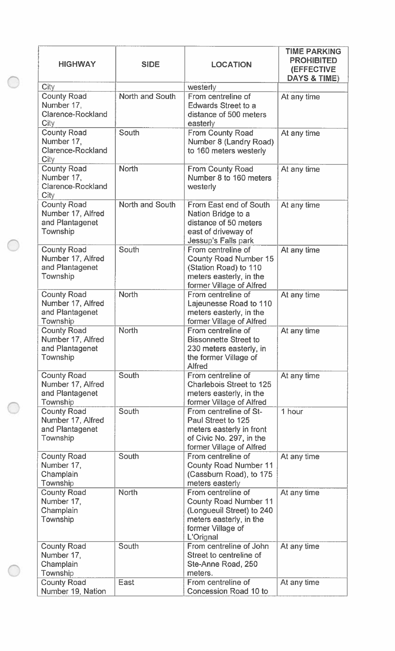| <b>HIGHWAY</b>                                                         | <b>SIDE</b><br><b>LOCATION</b> |                                                                                                                                              | <b>TIME PARKING</b><br><b>PROHIBITED</b><br><b>(EFFECTIVE</b><br><b>DAYS &amp; TIME)</b> |
|------------------------------------------------------------------------|--------------------------------|----------------------------------------------------------------------------------------------------------------------------------------------|------------------------------------------------------------------------------------------|
| <b>City</b>                                                            |                                | westerly                                                                                                                                     |                                                                                          |
| <b>County Road</b><br>Number 17,<br>Clarence-Rockland<br>City          | North and South                | From centreline of<br><b>Edwards Street to a</b><br>distance of 500 meters<br>easterly                                                       | At any time                                                                              |
| <b>County Road</b><br>Number 17,<br><b>Clarence-Rockland</b><br>City   | South                          | <b>From County Road</b><br>Number 8 (Landry Road)<br>to 160 meters westerly                                                                  | At any time                                                                              |
| <b>County Road</b><br>Number 17,<br><b>Clarence-Rockland</b><br>City   | <b>North</b>                   | <b>From County Road</b><br>Number 8 to 160 meters<br>westerly                                                                                | At any time                                                                              |
| <b>County Road</b><br>Number 17, Alfred<br>and Plantagenet<br>Township | <b>North and South</b>         | From East end of South<br>Nation Bridge to a<br>distance of 50 meters<br>east of driveway of<br>Jessup's Falls park                          | At any time                                                                              |
| <b>County Road</b><br>Number 17, Alfred<br>and Plantagenet<br>Township | South                          | From centreline of<br><b>County Road Number 15</b><br>(Station Road) to 110<br>meters easterly, in the<br>former Village of Alfred           | At any time                                                                              |
| <b>County Road</b><br>Number 17, Alfred<br>and Plantagenet<br>Township | <b>North</b>                   | From centreline of<br>Lajeunesse Road to 110<br>meters easterly, in the<br>former Village of Alfred                                          | At any time                                                                              |
| <b>County Road</b><br>Number 17, Alfred<br>and Plantagenet<br>Township | <b>North</b>                   | From centreline of<br><b>Bissonnette Street to</b><br>230 meters easterly, in<br>the former Village of<br><b>Alfred</b>                      | At any time                                                                              |
| <b>County Road</b><br>Number 17, Alfred<br>and Plantagenet<br>Township | South                          | From centreline of<br><b>Charlebois Street to 125</b><br>meters easterly, in the<br>former Village of Alfred                                 | At any time                                                                              |
| <b>County Road</b><br>Number 17, Alfred<br>and Plantagenet<br>Township | South                          | From centreline of St-<br>Paul Street to 125<br>meters easterly in front<br>of Civic No. 297, in the<br>former Village of Alfred             | 1 hour                                                                                   |
| <b>County Road</b><br>Number 17,<br>Champlain<br>Township              | South                          | From centreline of<br><b>County Road Number 11</b><br>(Cassburn Road), to 175<br>meters easterly                                             | At any time                                                                              |
| <b>County Road</b><br>Number 17,<br>Champlain<br>Township              | <b>North</b>                   | From centreline of<br><b>County Road Number 11</b><br>(Longueuil Street) to 240<br>meters easterly, in the<br>former Village of<br>L'Orignal | At any time                                                                              |
| <b>County Road</b><br>Number 17,<br>Champlain<br>Township              | South                          | From centreline of John<br>Street to centreline of<br>Ste-Anne Road, 250<br>meters.                                                          | At any time                                                                              |
| <b>County Road</b><br>Number 19, Nation                                | East                           | From centreline of<br><b>Concession Road 10 to</b>                                                                                           | At any time                                                                              |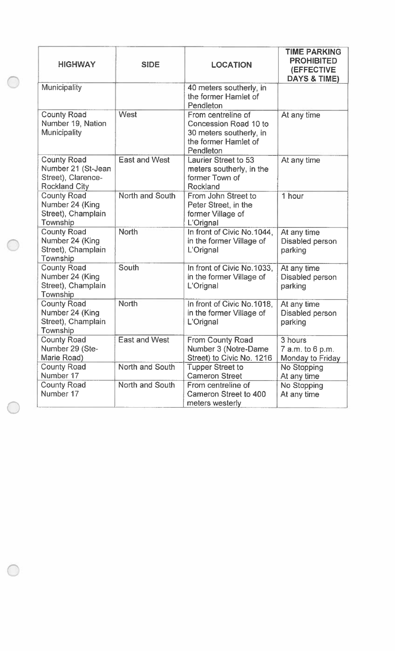| <b>HIGHWAY</b>                                                                         | <b>SIDE</b>            | <b>LOCATION</b>                                                                                                    | <b>TIME PARKING</b><br><b>PROHIBITED</b><br>(EFFECTIVE<br>DAYS & TIME) |
|----------------------------------------------------------------------------------------|------------------------|--------------------------------------------------------------------------------------------------------------------|------------------------------------------------------------------------|
| Municipality                                                                           |                        | 40 meters southerly, in<br>the former Hamlet of<br>Pendleton                                                       |                                                                        |
| <b>County Road</b><br>Number 19, Nation<br>Municipality                                | West                   | From centreline of<br><b>Concession Road 10 to</b><br>30 meters southerly, in<br>the former Hamlet of<br>Pendleton | At any time                                                            |
| <b>County Road</b><br>Number 21 (St-Jean<br>Street), Clarence-<br><b>Rockland City</b> | <b>East and West</b>   | <b>Laurier Street to 53</b><br>meters southerly, in the<br>former Town of<br>Rockland                              | At any time                                                            |
| <b>County Road</b><br>Number 24 (King<br>Street), Champlain<br>Township                | <b>North and South</b> | From John Street to<br>Peter Street, in the<br>former Village of<br>L'Orignal                                      | 1 hour                                                                 |
| <b>County Road</b><br>Number 24 (King<br>Street), Champlain<br>Township                | <b>North</b>           | In front of Civic No.1044,<br>in the former Village of<br>L'Orignal                                                | At any time<br>Disabled person<br>parking                              |
| <b>County Road</b><br>Number 24 (King<br>Street), Champlain<br>Township                | South                  | In front of Civic No.1033,<br>in the former Village of<br>L'Orignal                                                | At any time<br>Disabled person<br>parking                              |
| <b>County Road</b><br>Number 24 (King<br>Street), Champlain<br>Township                | <b>North</b>           | In front of Civic No.1018,<br>in the former Village of<br>L'Orignal                                                | At any time<br>Disabled person<br>parking                              |
| <b>County Road</b><br>Number 29 (Ste-<br>Marie Road)                                   | <b>East and West</b>   | <b>From County Road</b><br>Number 3 (Notre-Dame<br>Street) to Civic No. 1216                                       | 3 hours<br>7 a.m. to 6 p.m.<br>Monday to Friday                        |
| <b>County Road</b><br>Number 17                                                        | North and South        | <b>Tupper Street to</b><br><b>Cameron Street</b>                                                                   | No Stopping<br>At any time                                             |
| <b>County Road</b><br>Number 17                                                        | North and South        | From centreline of<br>Cameron Street to 400<br>meters westerly                                                     | No Stopping<br>At any time                                             |